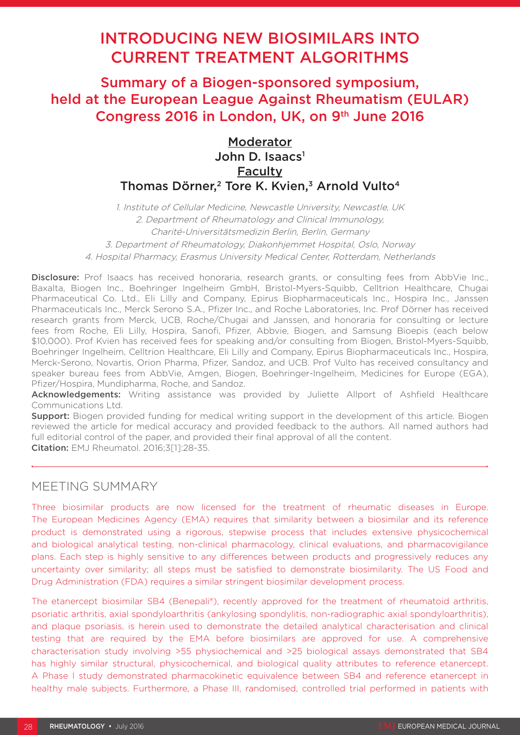# INTRODUCING NEW BIOSIMILARS INTO CURRENT TREATMENT ALGORITHMS

Summary of a Biogen-sponsored symposium, held at the European League Against Rheumatism (EULAR) Congress 2016 in London, UK, on 9th June 2016

## Moderator John D. Isaacs $<sup>1</sup>$ </sup> **Faculty** Thomas Dörner.<sup>2</sup> Tore K. Kvien.<sup>3</sup> Arnold Vulto<sup>4</sup>

1. Institute of Cellular Medicine, Newcastle University, Newcastle, UK 2. Department of Rheumatology and Clinical Immunology, Charité-Universitätsmedizin Berlin, Berlin, Germany 3. Department of Rheumatology, Diakonhjemmet Hospital, Oslo, Norway 4. Hospital Pharmacy, Erasmus University Medical Center, Rotterdam, Netherlands

Disclosure: Prof Isaacs has received honoraria, research grants, or consulting fees from AbbVie Inc., Baxalta, Biogen Inc., Boehringer Ingelheim GmbH, Bristol-Myers-Squibb, Celltrion Healthcare, Chugai Pharmaceutical Co. Ltd., Eli Lilly and Company, Epirus Biopharmaceuticals Inc., Hospira Inc., Janssen Pharmaceuticals Inc., Merck Serono S.A., Pfizer Inc., and Roche Laboratories, Inc. Prof Dörner has received research grants from Merck, UCB, Roche/Chugai and Janssen, and honoraria for consulting or lecture fees from Roche, Eli Lilly, Hospira, Sanofi, Pfizer, Abbvie, Biogen, and Samsung Bioepis (each below \$10,000). Prof Kvien has received fees for speaking and/or consulting from Biogen, Bristol-Myers-Squibb, Boehringer Ingelheim, Celltrion Healthcare, Eli Lilly and Company, Epirus Biopharmaceuticals Inc., Hospira, Merck-Serono, Novartis, Orion Pharma, Pfizer, Sandoz, and UCB. Prof Vulto has received consultancy and speaker bureau fees from AbbVie, Amgen, Biogen, Boehringer-Ingelheim, Medicines for Europe (EGA), Pfizer/Hospira, Mundipharma, Roche, and Sandoz.

Acknowledgements: Writing assistance was provided by Juliette Allport of Ashfield Healthcare Communications Ltd.

**Support:** Biogen provided funding for medical writing support in the development of this article. Biogen reviewed the article for medical accuracy and provided feedback to the authors. All named authors had full editorial control of the paper, and provided their final approval of all the content. Citation: EMJ Rheumatol. 2016;3[1]:28-35.

## MEETING SUMMARY

Three biosimilar products are now licensed for the treatment of rheumatic diseases in Europe. The European Medicines Agency (EMA) requires that similarity between a biosimilar and its reference product is demonstrated using a rigorous, stepwise process that includes extensive physicochemical and biological analytical testing, non-clinical pharmacology, clinical evaluations, and pharmacovigilance plans. Each step is highly sensitive to any differences between products and progressively reduces any uncertainty over similarity; all steps must be satisfied to demonstrate biosimilarity. The US Food and Drug Administration (FDA) requires a similar stringent biosimilar development process.

The etanercept biosimilar SB4 (Benepali®), recently approved for the treatment of rheumatoid arthritis, psoriatic arthritis, axial spondyloarthritis (ankylosing spondylitis, non-radiographic axial spondyloarthritis), and plaque psoriasis, is herein used to demonstrate the detailed analytical characterisation and clinical testing that are required by the EMA before biosimilars are approved for use. A comprehensive characterisation study involving >55 physiochemical and >25 biological assays demonstrated that SB4 has highly similar structural, physicochemical, and biological quality attributes to reference etanercept. A Phase I study demonstrated pharmacokinetic equivalence between SB4 and reference etanercept in healthy male subjects. Furthermore, a Phase III, randomised, controlled trial performed in patients with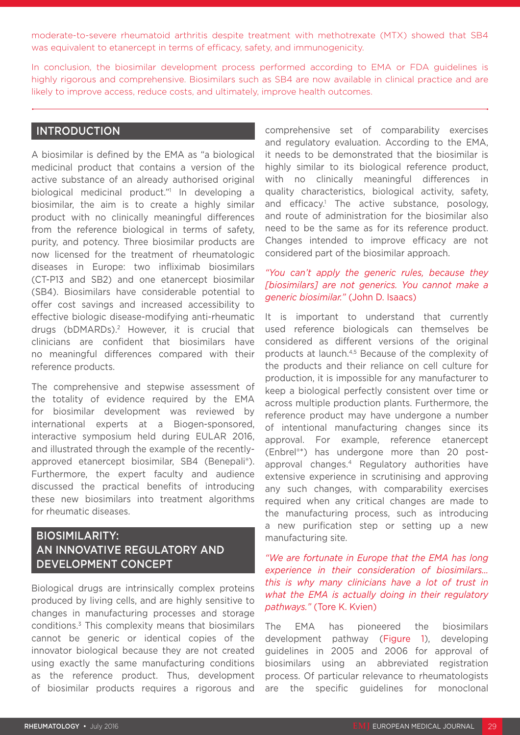moderate-to-severe rheumatoid arthritis despite treatment with methotrexate (MTX) showed that SB4 was equivalent to etanercept in terms of efficacy, safety, and immunogenicity.

In conclusion, the biosimilar development process performed according to EMA or FDA guidelines is highly rigorous and comprehensive. Biosimilars such as SB4 are now available in clinical practice and are likely to improve access, reduce costs, and ultimately, improve health outcomes.

### INTRODUCTION

A biosimilar is defined by the EMA as "a biological medicinal product that contains a version of the active substance of an already authorised original biological medicinal product."1 In developing a biosimilar, the aim is to create a highly similar product with no clinically meaningful differences from the reference biological in terms of safety, purity, and potency. Three biosimilar products are now licensed for the treatment of rheumatologic diseases in Europe: two infliximab biosimilars (CT-P13 and SB2) and one etanercept biosimilar (SB4). Biosimilars have considerable potential to offer cost savings and increased accessibility to effective biologic disease-modifying anti-rheumatic drugs (bDMARDs).2 However, it is crucial that clinicians are confident that biosimilars have no meaningful differences compared with their reference products.

The comprehensive and stepwise assessment of the totality of evidence required by the EMA for biosimilar development was reviewed by international experts at a Biogen-sponsored, interactive symposium held during EULAR 2016, and illustrated through the example of the recentlyapproved etanercept biosimilar, SB4 (Benepali®). Furthermore, the expert faculty and audience discussed the practical benefits of introducing these new biosimilars into treatment algorithms for rheumatic diseases.

## BIOSIMILARITY: AN INNOVATIVE REGULATORY AND DEVELOPMENT CONCEPT

Biological drugs are intrinsically complex proteins produced by living cells, and are highly sensitive to changes in manufacturing processes and storage conditions.3 This complexity means that biosimilars cannot be generic or identical copies of the innovator biological because they are not created using exactly the same manufacturing conditions as the reference product. Thus, development of biosimilar products requires a rigorous and

comprehensive set of comparability exercises and regulatory evaluation. According to the EMA, it needs to be demonstrated that the biosimilar is highly similar to its biological reference product, with no clinically meaningful differences in quality characteristics, biological activity, safety, and efficacy.<sup>1</sup> The active substance, posology, and route of administration for the biosimilar also need to be the same as for its reference product. Changes intended to improve efficacy are not considered part of the biosimilar approach.

#### *"You can't apply the generic rules, because they [biosimilars] are not generics. You cannot make a generic biosimilar."* (John D. Isaacs)

It is important to understand that currently used reference biologicals can themselves be considered as different versions of the original products at launch.4,5 Because of the complexity of the products and their reliance on cell culture for production, it is impossible for any manufacturer to keep a biological perfectly consistent over time or across multiple production plants. Furthermore, the reference product may have undergone a number of intentional manufacturing changes since its approval. For example, reference etanercept (Enbrel®\*) has undergone more than 20 postapproval changes.4 Regulatory authorities have extensive experience in scrutinising and approving any such changes, with comparability exercises required when any critical changes are made to the manufacturing process, such as introducing a new purification step or setting up a new manufacturing site.

*"We are fortunate in Europe that the EMA has long experience in their consideration of biosimilars… this is why many clinicians have a lot of trust in what the EMA is actually doing in their regulatory pathways."* (Tore K. Kvien)

The EMA has pioneered the biosimilars development pathway (Figure 1), developing guidelines in 2005 and 2006 for approval of biosimilars using an abbreviated registration process. Of particular relevance to rheumatologists are the specific guidelines for monoclonal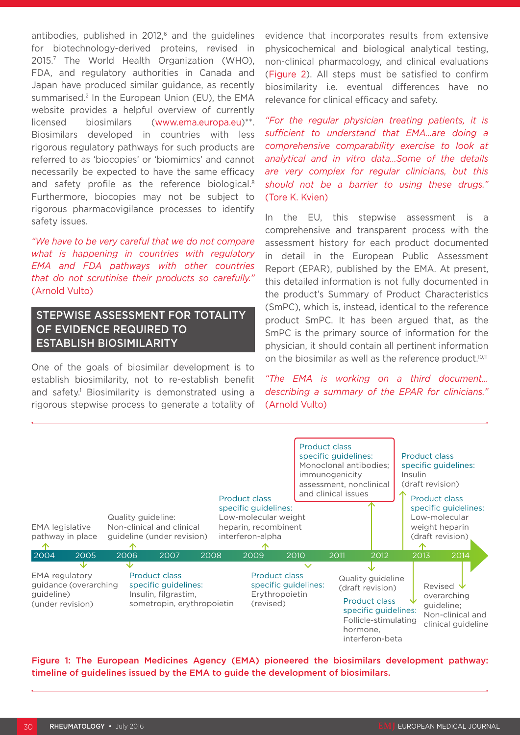antibodies, published in  $2012$ , and the guidelines for biotechnology-derived proteins, revised in 2015.7 The World Health Organization (WHO), FDA, and regulatory authorities in Canada and Japan have produced similar guidance, as recently summarised.<sup>2</sup> In the European Union (EU), the EMA website provides a helpful overview of currently licensed biosimilars (www.ema.europa.eu)\*\*. Biosimilars developed in countries with less rigorous regulatory pathways for such products are referred to as 'biocopies' or 'biomimics' and cannot necessarily be expected to have the same efficacy and safety profile as the reference biological.8 Furthermore, biocopies may not be subject to rigorous pharmacovigilance processes to identify safety issues.

*"We have to be very careful that we do not compare what is happening in countries with regulatory EMA and FDA pathways with other countries that do not scrutinise their products so carefully."* (Arnold Vulto)

## STEPWISE ASSESSMENT FOR TOTALITY OF EVIDENCE REQUIRED TO ESTABLISH BIOSIMILARITY

One of the goals of biosimilar development is to establish biosimilarity, not to re-establish benefit and safety.1 Biosimilarity is demonstrated using a rigorous stepwise process to generate a totality of evidence that incorporates results from extensive physicochemical and biological analytical testing, non-clinical pharmacology, and clinical evaluations (Figure 2). All steps must be satisfied to confirm biosimilarity i.e. eventual differences have no relevance for clinical efficacy and safety.

*"For the regular physician treating patients, it is sufficient to understand that EMA…are doing a comprehensive comparability exercise to look at analytical and in vitro data…Some of the details are very complex for regular clinicians, but this should not be a barrier to using these drugs."*  (Tore K. Kvien)

In the EU, this stepwise assessment is a comprehensive and transparent process with the assessment history for each product documented in detail in the European Public Assessment Report (EPAR), published by the EMA. At present, this detailed information is not fully documented in the product's Summary of Product Characteristics (SmPC), which is, instead, identical to the reference product SmPC. It has been argued that, as the SmPC is the primary source of information for the physician, it should contain all pertinent information on the biosimilar as well as the reference product.<sup>10,11</sup>

*"The EMA is working on a third document… describing a summary of the EPAR for clinicians."*  (Arnold Vulto)



Figure 1: The European Medicines Agency (EMA) pioneered the biosimilars development pathway: timeline of guidelines issued by the EMA to guide the development of biosimilars.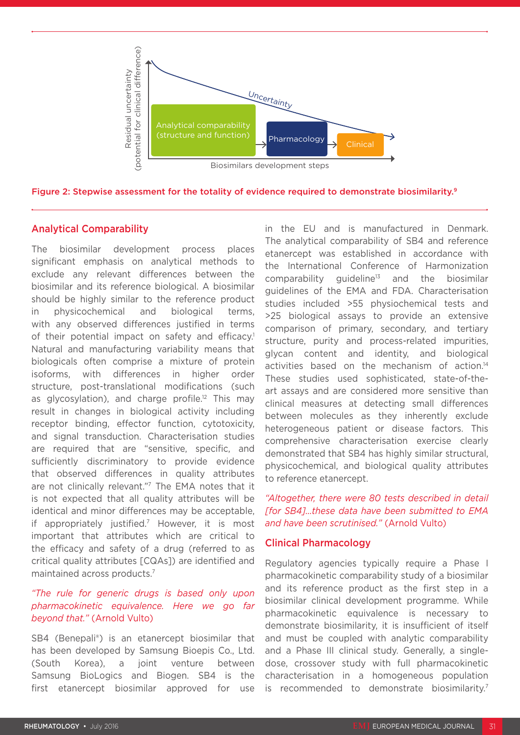

Figure 2: Stepwise assessment for the totality of evidence required to demonstrate biosimilarity.<sup>9</sup>

## Analytical Comparability

The biosimilar development process places significant emphasis on analytical methods to exclude any relevant differences between the biosimilar and its reference biological. A biosimilar should be highly similar to the reference product in physicochemical and biological terms, with any observed differences justified in terms of their potential impact on safety and efficacy.<sup>1</sup> Natural and manufacturing variability means that biologicals often comprise a mixture of protein isoforms, with differences in higher order structure, post-translational modifications (such as glycosylation), and charge profile.<sup>12</sup> This may result in changes in biological activity including receptor binding, effector function, cytotoxicity, and signal transduction. Characterisation studies are required that are "sensitive, specific, and sufficiently discriminatory to provide evidence that observed differences in quality attributes are not clinically relevant."7 The EMA notes that it is not expected that all quality attributes will be identical and minor differences may be acceptable, if appropriately justified.7 However, it is most important that attributes which are critical to the efficacy and safety of a drug (referred to as critical quality attributes [CQAs]) are identified and maintained across products.7

#### *"The rule for generic drugs is based only upon pharmacokinetic equivalence. Here we go far beyond that."* (Arnold Vulto)

SB4 (Benepali®) is an etanercept biosimilar that has been developed by Samsung Bioepis Co., Ltd. (South Korea), a joint venture between Samsung BioLogics and Biogen. SB4 is the first etanercept biosimilar approved for use

in the EU and is manufactured in Denmark. The analytical comparability of SB4 and reference etanercept was established in accordance with the International Conference of Harmonization  $comparability$  guideline<sup>13</sup> and the biosimilar guidelines of the EMA and FDA. Characterisation studies included >55 physiochemical tests and >25 biological assays to provide an extensive comparison of primary, secondary, and tertiary structure, purity and process-related impurities, glycan content and identity, and biological activities based on the mechanism of action.14 These studies used sophisticated, state-of-theart assays and are considered more sensitive than clinical measures at detecting small differences between molecules as they inherently exclude heterogeneous patient or disease factors. This comprehensive characterisation exercise clearly demonstrated that SB4 has highly similar structural, physicochemical, and biological quality attributes to reference etanercept.

*"Altogether, there were 80 tests described in detail [for SB4]…these data have been submitted to EMA and have been scrutinised."* (Arnold Vulto)

#### Clinical Pharmacology

Regulatory agencies typically require a Phase I pharmacokinetic comparability study of a biosimilar and its reference product as the first step in a biosimilar clinical development programme. While pharmacokinetic equivalence is necessary to demonstrate biosimilarity, it is insufficient of itself and must be coupled with analytic comparability and a Phase III clinical study. Generally, a singledose, crossover study with full pharmacokinetic characterisation in a homogeneous population is recommended to demonstrate biosimilarity.<sup>7</sup>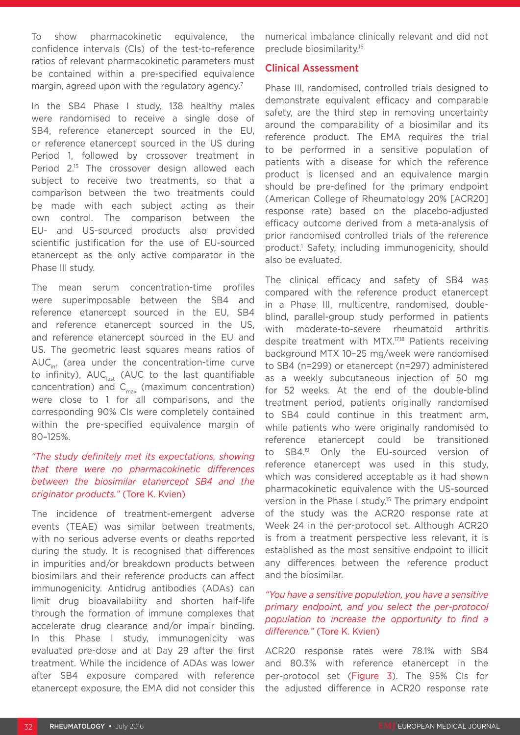To show pharmacokinetic equivalence, the confidence intervals (CIs) of the test-to-reference ratios of relevant pharmacokinetic parameters must be contained within a pre-specified equivalence margin, agreed upon with the regulatory agency.<sup>7</sup>

In the SB4 Phase I study, 138 healthy males were randomised to receive a single dose of SB4, reference etanercept sourced in the EU, or reference etanercept sourced in the US during Period 1, followed by crossover treatment in Period 2.<sup>15</sup> The crossover design allowed each subject to receive two treatments, so that a comparison between the two treatments could be made with each subject acting as their own control. The comparison between the EU- and US-sourced products also provided scientific justification for the use of EU-sourced etanercept as the only active comparator in the Phase III study.

The mean serum concentration-time profiles were superimposable between the SB4 and reference etanercept sourced in the EU, SB4 and reference etanercept sourced in the US, and reference etanercept sourced in the EU and US. The geometric least squares means ratios of  $AUC_{\text{inf}}$  (area under the concentration-time curve to infinity),  $AUC_{last}$  (AUC to the last quantifiable concentration) and  $C_{\text{max}}$  (maximum concentration) were close to 1 for all comparisons, and the corresponding 90% CIs were completely contained within the pre-specified equivalence margin of 80–125%.

#### *"The study definitely met its expectations, showing that there were no pharmacokinetic differences between the biosimilar etanercept SB4 and the originator products."* (Tore K. Kvien)

The incidence of treatment-emergent adverse events (TEAE) was similar between treatments, with no serious adverse events or deaths reported during the study. It is recognised that differences in impurities and/or breakdown products between biosimilars and their reference products can affect immunogenicity. Antidrug antibodies (ADAs) can limit drug bioavailability and shorten half-life through the formation of immune complexes that accelerate drug clearance and/or impair binding. In this Phase I study, immunogenicity was evaluated pre-dose and at Day 29 after the first treatment. While the incidence of ADAs was lower after SB4 exposure compared with reference etanercept exposure, the EMA did not consider this numerical imbalance clinically relevant and did not preclude biosimilarity.16

#### Clinical Assessment

Phase III, randomised, controlled trials designed to demonstrate equivalent efficacy and comparable safety, are the third step in removing uncertainty around the comparability of a biosimilar and its reference product. The EMA requires the trial to be performed in a sensitive population of patients with a disease for which the reference product is licensed and an equivalence margin should be pre-defined for the primary endpoint (American College of Rheumatology 20% [ACR20] response rate) based on the placebo-adjusted efficacy outcome derived from a meta-analysis of prior randomised controlled trials of the reference product.1 Safety, including immunogenicity, should also be evaluated.

The clinical efficacy and safety of SB4 was compared with the reference product etanercept in a Phase III, multicentre, randomised, doubleblind, parallel-group study performed in patients with moderate-to-severe rheumatoid arthritis despite treatment with MTX.17,18 Patients receiving background MTX 10–25 mg/week were randomised to SB4 (n=299) or etanercept (n=297) administered as a weekly subcutaneous injection of 50 mg for 52 weeks. At the end of the double-blind treatment period, patients originally randomised to SB4 could continue in this treatment arm, while patients who were originally randomised to reference etanercept could be transitioned to SB4.19 Only the EU-sourced version of reference etanercept was used in this study, which was considered acceptable as it had shown pharmacokinetic equivalence with the US-sourced version in the Phase I study.<sup>15</sup> The primary endpoint of the study was the ACR20 response rate at Week 24 in the per-protocol set. Although ACR20 is from a treatment perspective less relevant, it is established as the most sensitive endpoint to illicit any differences between the reference product and the biosimilar.

#### *"You have a sensitive population, you have a sensitive primary endpoint, and you select the per-protocol population to increase the opportunity to find a difference."* (Tore K. Kvien)

ACR20 response rates were 78.1% with SB4 and 80.3% with reference etanercept in the per-protocol set (Figure 3). The 95% CIs for the adjusted difference in ACR20 response rate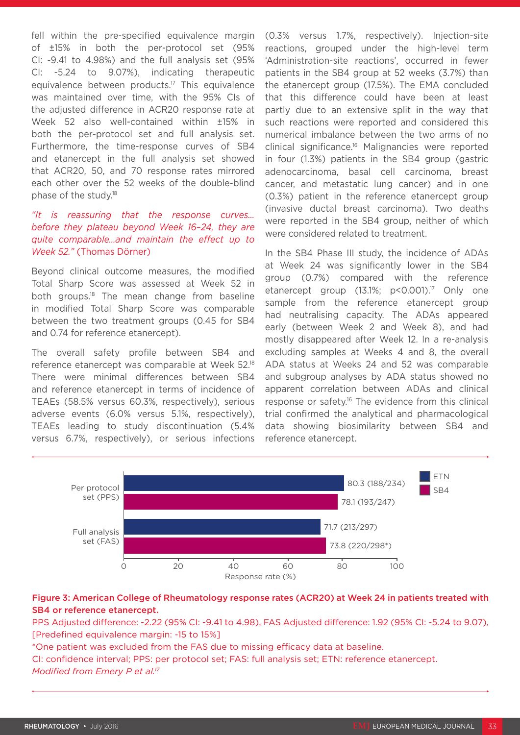fell within the pre-specified equivalence margin of ±15% in both the per-protocol set (95% CI: -9.41 to 4.98%) and the full analysis set (95% CI: -5.24 to 9.07%), indicating therapeutic equivalence between products.17 This equivalence was maintained over time, with the 95% CIs of the adjusted difference in ACR20 response rate at Week 52 also well-contained within ±15% in both the per-protocol set and full analysis set. Furthermore, the time-response curves of SB4 and etanercept in the full analysis set showed that ACR20, 50, and 70 response rates mirrored each other over the 52 weeks of the double-blind phase of the study.18

#### *"It is reassuring that the response curves… before they plateau beyond Week 16–24, they are quite comparable…and maintain the effect up to Week 52."* (Thomas Dörner)

Beyond clinical outcome measures, the modified Total Sharp Score was assessed at Week 52 in both groups.18 The mean change from baseline in modified Total Sharp Score was comparable between the two treatment groups (0.45 for SB4 and 0.74 for reference etanercept).

The overall safety profile between SB4 and reference etanercept was comparable at Week 52.18 There were minimal differences between SB4 and reference etanercept in terms of incidence of TEAEs (58.5% versus 60.3%, respectively), serious adverse events (6.0% versus 5.1%, respectively), TEAEs leading to study discontinuation (5.4% versus 6.7%, respectively), or serious infections (0.3% versus 1.7%, respectively). Injection-site reactions, grouped under the high-level term 'Administration-site reactions', occurred in fewer patients in the SB4 group at 52 weeks (3.7%) than the etanercept group (17.5%). The EMA concluded that this difference could have been at least partly due to an extensive split in the way that such reactions were reported and considered this numerical imbalance between the two arms of no clinical significance.16 Malignancies were reported in four (1.3%) patients in the SB4 group (gastric adenocarcinoma, basal cell carcinoma, breast cancer, and metastatic lung cancer) and in one (0.3%) patient in the reference etanercept group (invasive ductal breast carcinoma). Two deaths were reported in the SB4 group, neither of which were considered related to treatment.

In the SB4 Phase III study, the incidence of ADAs at Week 24 was significantly lower in the SB4 group (0.7%) compared with the reference etanercept group (13.1%; p<0.001).<sup>17</sup> Only one sample from the reference etanercept group had neutralising capacity. The ADAs appeared early (between Week 2 and Week 8), and had mostly disappeared after Week 12. In a re-analysis excluding samples at Weeks 4 and 8, the overall ADA status at Weeks 24 and 52 was comparable and subgroup analyses by ADA status showed no apparent correlation between ADAs and clinical response or safety.16 The evidence from this clinical trial confirmed the analytical and pharmacological data showing biosimilarity between SB4 and reference etanercept.



### Figure 3: American College of Rheumatology response rates (ACR20) at Week 24 in patients treated with SB4 or reference etanercept.

PPS Adjusted difference: -2.22 (95% CI: -9.41 to 4.98), FAS Adjusted difference: 1.92 (95% CI: -5.24 to 9.07), [Predefined equivalence margin: -15 to 15%]

\*One patient was excluded from the FAS due to missing efficacy data at baseline. CI: confidence interval; PPS: per protocol set; FAS: full analysis set; ETN: reference etanercept. *Modified from Emery P et al.17*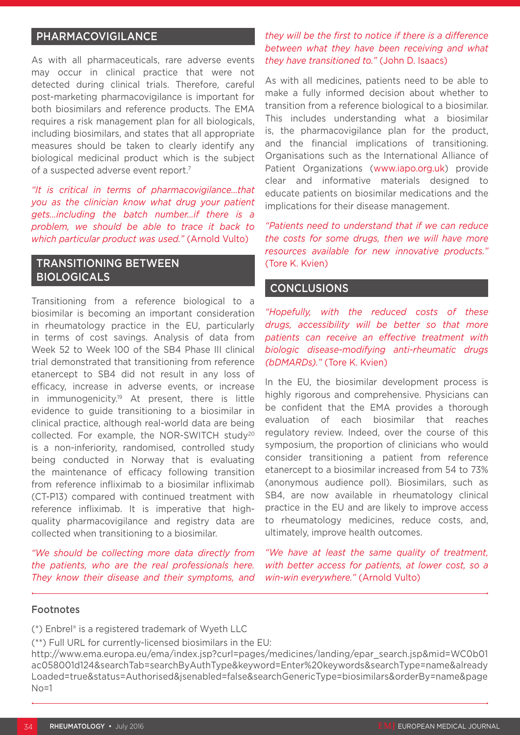## PHARMACOVIGILANCE

As with all pharmaceuticals, rare adverse events may occur in clinical practice that were not detected during clinical trials. Therefore, careful post-marketing pharmacovigilance is important for both biosimilars and reference products. The EMA requires a risk management plan for all biologicals, including biosimilars, and states that all appropriate measures should be taken to clearly identify any biological medicinal product which is the subject of a suspected adverse event report.7

*"It is critical in terms of pharmacovigilance…that you as the clinician know what drug your patient gets…including the batch number…if there is a problem, we should be able to trace it back to which particular product was used."* (Arnold Vulto)

## TRANSITIONING BETWEEN BIOLOGICALS

Transitioning from a reference biological to a biosimilar is becoming an important consideration in rheumatology practice in the EU, particularly in terms of cost savings. Analysis of data from Week 52 to Week 100 of the SB4 Phase III clinical trial demonstrated that transitioning from reference etanercept to SB4 did not result in any loss of efficacy, increase in adverse events, or increase in immunogenicity.19 At present, there is little evidence to guide transitioning to a biosimilar in clinical practice, although real-world data are being collected. For example, the NOR-SWITCH study20 is a non-inferiority, randomised, controlled study being conducted in Norway that is evaluating the maintenance of efficacy following transition from reference infliximab to a biosimilar infliximab (CT-P13) compared with continued treatment with reference infliximab. It is imperative that highquality pharmacovigilance and registry data are collected when transitioning to a biosimilar.

*"We should be collecting more data directly from the patients, who are the real professionals here. They know their disease and their symptoms, and* 

### *they will be the first to notice if there is a difference between what they have been receiving and what they have transitioned to."* (John D. Isaacs)

As with all medicines, patients need to be able to make a fully informed decision about whether to transition from a reference biological to a biosimilar. This includes understanding what a biosimilar is, the pharmacovigilance plan for the product, and the financial implications of transitioning. Organisations such as the International Alliance of Patient Organizations (www.iapo.org.uk) provide clear and informative materials designed to educate patients on biosimilar medications and the implications for their disease management.

*"Patients need to understand that if we can reduce the costs for some drugs, then we will have more resources available for new innovative products."* (Tore K. Kvien)

#### **CONCLUSIONS**

*"Hopefully, with the reduced costs of these drugs, accessibility will be better so that more patients can receive an effective treatment with biologic disease-modifying anti-rheumatic drugs (bDMARDs)."* (Tore K. Kvien)

In the EU, the biosimilar development process is highly rigorous and comprehensive. Physicians can be confident that the EMA provides a thorough evaluation of each biosimilar that reaches regulatory review. Indeed, over the course of this symposium, the proportion of clinicians who would consider transitioning a patient from reference etanercept to a biosimilar increased from 54 to 73% (anonymous audience poll). Biosimilars, such as SB4, are now available in rheumatology clinical practice in the EU and are likely to improve access to rheumatology medicines, reduce costs, and, ultimately, improve health outcomes.

*"We have at least the same quality of treatment, with better access for patients, at lower cost, so a win-win everywhere."* (Arnold Vulto)

#### Footnotes

(\*) Enbrel® is a registered trademark of Wyeth LLC

(\*\*) Full URL for currently-licensed biosimilars in the EU:

http://www.ema.europa.eu/ema/index.jsp?curl=pages/medicines/landing/epar\_search.jsp&mid=WC0b01 ac058001d124&searchTab=searchByAuthType&keyword=Enter%20keywords&searchType=name&already Loaded=true&status=Authorised&jsenabled=false&searchGenericType=biosimilars&orderBy=name&page  $No=1$